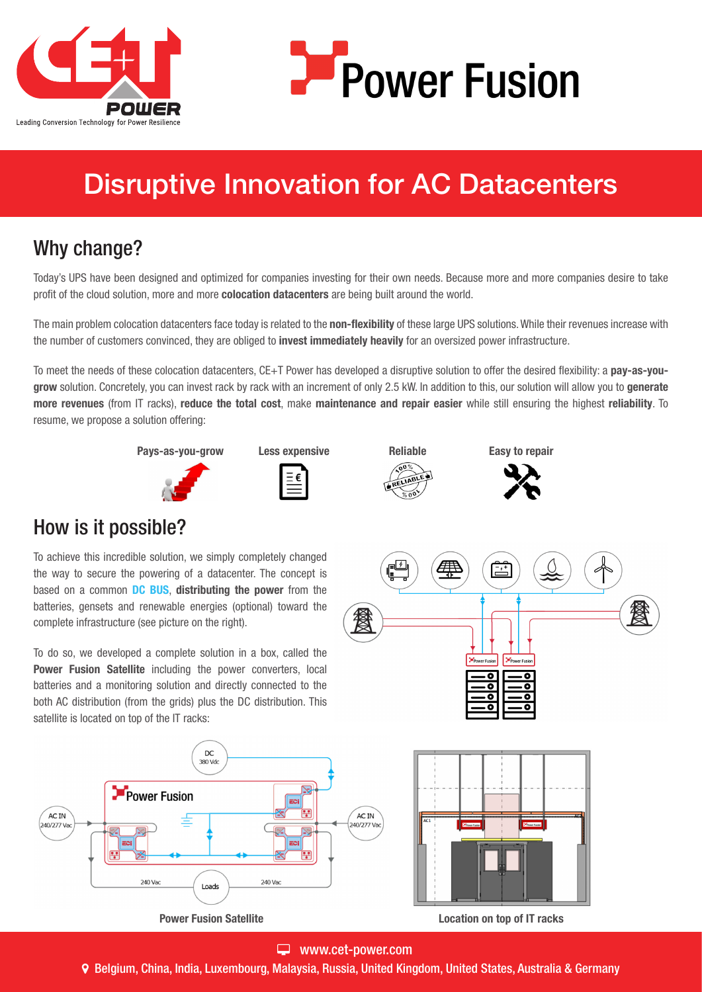



# Disruptive Innovation for AC Datacenters

# Why change?

Today's UPS have been designed and optimized for companies investing for their own needs. Because more and more companies desire to take profit of the cloud solution, more and more **colocation datacenters** are being built around the world.

The main problem colocation datacenters face today is related to the non-flexibility of these large UPS solutions. While their revenues increase with the number of customers convinced, they are obliged to invest immediately heavily for an oversized power infrastructure.

To meet the needs of these colocation datacenters, CE+T Power has developed a disruptive solution to offer the desired flexibility: a pay-as-yougrow solution. Concretely, you can invest rack by rack with an increment of only 2.5 kW. In addition to this, our solution will allow you to generate more revenues (from IT racks), reduce the total cost, make maintenance and repair easier while still ensuring the highest reliability. To resume, we propose a solution offering:











## How is it possible?

To achieve this incredible solution, we simply completely changed the way to secure the powering of a datacenter. The concept is based on a common **DC BUS, distributing the power** from the batteries, gensets and renewable energies (optional) toward the complete infrastructure (see picture on the right).

To do so, we developed a complete solution in a box, called the Power Fusion Satellite including the power converters, local batteries and a monitoring solution and directly connected to the both AC distribution (from the grids) plus the DC distribution. This satellite is located on top of the IT racks:





#### www.cet-power.com

Belgium, China, India, Luxembourg, Malaysia, Russia, United Kingdom, United States, Australia & Germany